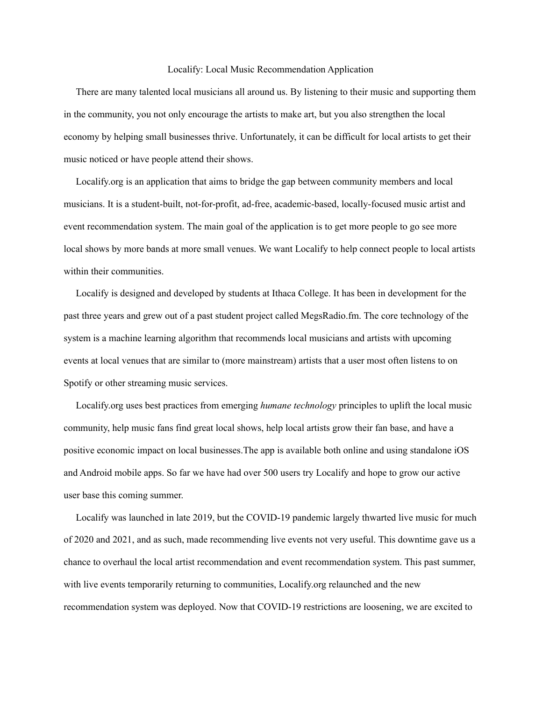## Localify: Local Music Recommendation Application

There are many talented local musicians all around us. By listening to their music and supporting them in the community, you not only encourage the artists to make art, but you also strengthen the local economy by helping small businesses thrive. Unfortunately, it can be difficult for local artists to get their music noticed or have people attend their shows.

Localify.org is an application that aims to bridge the gap between community members and local musicians. It is a student-built, not-for-profit, ad-free, academic-based, locally-focused music artist and event recommendation system. The main goal of the application is to get more people to go see more local shows by more bands at more small venues. We want Localify to help connect people to local artists within their communities.

Localify is designed and developed by students at Ithaca College. It has been in development for the past three years and grew out of a past student project called MegsRadio.fm. The core technology of the system is a machine learning algorithm that recommends local musicians and artists with upcoming events at local venues that are similar to (more mainstream) artists that a user most often listens to on Spotify or other streaming music services.

Localify.org uses best practices from emerging *humane technology* principles to uplift the local music community, help music fans find great local shows, help local artists grow their fan base, and have a positive economic impact on local businesses.The app is available both online and using standalone iOS and Android mobile apps. So far we have had over 500 users try Localify and hope to grow our active user base this coming summer.

Localify was launched in late 2019, but the COVID-19 pandemic largely thwarted live music for much of 2020 and 2021, and as such, made recommending live events not very useful. This downtime gave us a chance to overhaul the local artist recommendation and event recommendation system. This past summer, with live events temporarily returning to communities, Localify.org relaunched and the new recommendation system was deployed. Now that COVID-19 restrictions are loosening, we are excited to